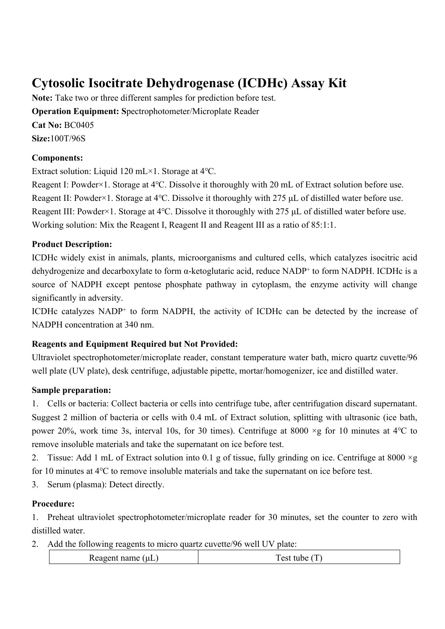# **Cytosolic Isocitrate Dehydrogenase (ICDHc) Assay Kit**

**Note:** Take two or three different samples for prediction before test. **Operation Equipment: S**pectrophotometer/Microplate Reader **Cat No:** BC0405 **Size:**100T/96S

#### **Components:**

Extract solution: Liquid 120 mL×1. Storage at 4℃.

Reagent I: Powder×1. Storage at 4℃. Dissolve it thoroughly with 20 mL of Extract solution before use. Reagent II: Powder×1. Storage at 4℃. Dissolve it thoroughly with 275 μL of distilled water before use. Reagent III: Powder×1. Storage at 4℃. Dissolve it thoroughly with 275 μL of distilled water before use. Working solution: Mix the Reagent I, Reagent II and Reagent III as a ratio of 85:1:1.

## **Product Description:**

ICDHc widely exist in animals, plants, microorganisms and cultured cells, which catalyzes isocitric acid dehydrogenize and [decarboxylate](file:///C:/Users/28964/AppData/Local/youdao/dict/Application/8.5.1.0/resultui/html/index.html%23/javascript:;) to form α-ketoglutaric acid, reduce NADP<sup>+</sup> to form NADPH. ICDHc is a source of NADPH except [pentose phosphate](file:///C:/Users/28964/AppData/Local/youdao/dict/Application/8.5.1.0/resultui/html/index.html%23/javascript:;) [pathway](file:///C:/Users/28964/AppData/Local/youdao/dict/Application/8.5.1.0/resultui/html/index.html%23/javascript:;) in cytoplasm, the enzyme activity will change significantly in adversity.

ICDHc catalyzes NADP<sup>+</sup> to form NADPH, the activity of ICDHc can be detected by the increase of NADPH concentration at 340 nm.

## **Reagents and Equipment Required but Not Provided:**

Ultraviolet spectrophotometer/microplate reader, [constant temperature](file:///C:/Users/28964/AppData/Local/youdao/dict/Application/8.5.1.0/resultui/html/index.html%23/javascript:;) water bath, micro quartz cuvette/96 well plate (UV plate), desk centrifuge, adjustable pipette, mortar/homogenizer, ice and distilled water.

## **Sample preparation:**

1. Cells or bacteria: Collect bacteria or cells into centrifuge tube, after centrifugation discard supernatant. Suggest 2 million of bacteria or cells with 0.4 mL of Extract solution, splitting with ultrasonic (ice bath, power 20%, work time 3s, interval 10s, for 30 times). Centrifuge at 8000 ×g for 10 minutes at 4℃ to remove insoluble materials and take the supernatant on ice before test.

2. Tissue: Add 1 mL of Extract solution into 0.1 g of tissue, fully grinding on ice. Centrifuge at 8000  $\times$ g for 10 minutes at 4℃ to remove insoluble materials and take the supernatant on ice before test.

3. Serum (plasma): Detect directly.

## **Procedure:**

1. Preheat ultraviolet spectrophotometer/microplate reader for 30 minutes, set the counter to zero with distilled water.

2. Add the following reagents to micro quartz cuvette/96 well UV plate:

| . .<br>---<br> |
|----------------|
|----------------|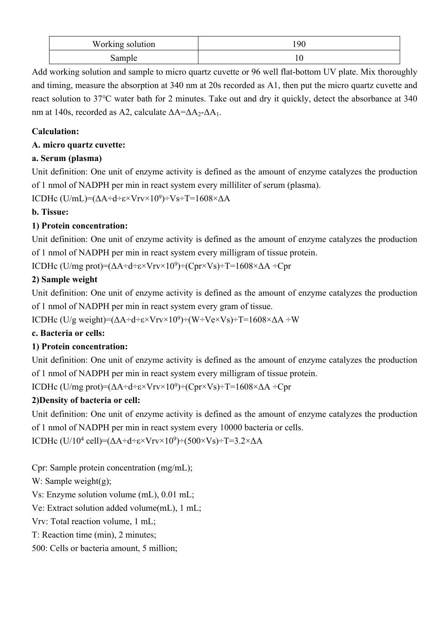| Working solution |  |
|------------------|--|
| sample           |  |

Add working solution and sample to micro quartz cuvette or 96 well flat-bottom UV plate. Mix thoroughly and timing, measure the absorption at 340 nm at 20s recorded as A1, then put the micro quartz cuvette and react solution to 37℃ water bath for 2 minutes. Take out and dry it quickly, detect the absorbance at 340 nm at 140s, recorded as A2, calculate  $\Delta A = \Delta A_2 - \Delta A_1$ .

## **Calculation:**

## **A. micro quartz cuvette:**

## **a. Serum (plasma)**

Unit definition: One unit of enzyme activity is defined as the amount of enzyme catalyzes the production of 1 nmol of NADPH per min in react system every milliliter of serum (plasma).

ICDHc (U/mL)=(ΔA÷d÷ε×Vrv×10<sup>9</sup> )÷Vs÷T=1608×ΔA

# **b. Tissue:**

# **1) Protein concentration:**

Unit definition: One unit of enzyme activity is defined as the amount of enzyme catalyzes the production of 1 nmol of NADPH per min in react system every milligram of tissue protein.

ICDHc (U/mg prot)=(ΔA÷d÷ε×Vrv×10<sup>9</sup>)÷(Cpr×Vs)÷T=1608×ΔA ÷Cpr

# **2) Sample weight**

Unit definition: One unit of enzyme activity is defined as the amount of enzyme catalyzes the production of 1 nmol of NADPH per min in react system every gram of tissue.

ICDHc (U/g weight)=(ΔA÷d÷ε×Vrv×10<sup>9</sup> )÷(W÷Ve×Vs)÷T=1608×ΔA ÷W

## **c. Bacteria or cells:**

# **1) Protein concentration:**

Unit definition: One unit of enzyme activity is defined as the amount of enzyme catalyzes the production of 1 nmol of NADPH per min in react system every milligram of tissue protein.

ICDHc (U/mg prot)=(ΔA÷d÷ε×Vrv×10<sup>9</sup> )÷(Cpr×Vs)÷T=1608×ΔA ÷Cpr

# **2)Density of bacteria or cell:**

Unit definition: One unit of enzyme activity is defined as the amount of enzyme catalyzes the production of 1 nmol of NADPH per min in react system every 10000 bacteria or cells.

ICDHc (U/10<sup>4</sup> cell)=(ΔA÷d÷ε×Vrv×10<sup>9</sup>)÷(500×Vs)÷T=3.2×ΔA

Cpr: Sample protein concentration (mg/mL);

W: Sample weight(g);

Vs: Enzyme solution volume (mL), 0.01 mL;

Ve: Extract solution added volume(mL), 1 mL;

Vrv: Total reaction volume, 1 mL;

T: Reaction time (min), 2 minutes;

500: Cells or bacteria amount, 5 million;